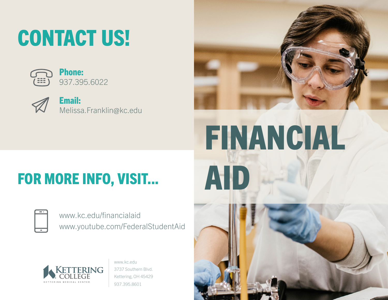## CONTACT US!





Email: Melissa.Franklin@kc.edu



## FOR MORE INFO, VISIT...

| <b>Service Service</b> |  |
|------------------------|--|
|                        |  |
|                        |  |
|                        |  |
|                        |  |
|                        |  |

www.kc.edu/financialaid www.youtube.com/FederalStudentAid



www.kc.edu 3737 Southern Blvd. Kettering, OH 45429 937.395.8601

# FINANCIAL AID